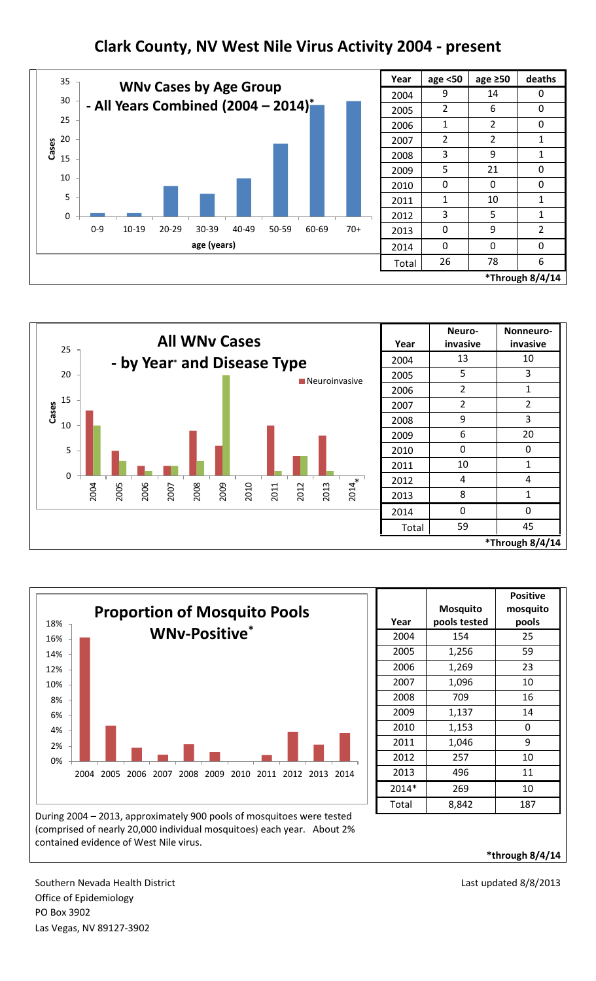## **Clark County, NV West Nile Virus Activity 2004 - present**



| Year            | age <50        | age $\geq 50$  | deaths         |
|-----------------|----------------|----------------|----------------|
| 2004            | 9              | 14             | 0              |
| 2005            | 2              | 6              | 0              |
| 2006            | 1              | 2              | 0              |
| 2007            | $\overline{2}$ | $\overline{2}$ | 1              |
| 2008            | 3              | 9              | 1              |
| 2009            | 5              | 21             | 0              |
| 2010            | U              | 0              | N              |
| 2011            | 1              | 10             | 1              |
| 2012            | 3              | 5              | $\mathbf{1}$   |
| 2013            | N              | 9              | $\overline{2}$ |
| 2014            | ი              | 0              | N              |
| Total           | 26             | 78             | 6              |
| *Through 8/4/14 |                |                |                |





| Year  | <b>Mosquito</b><br>pools tested | <b>Positive</b><br>mosquito<br>pools |
|-------|---------------------------------|--------------------------------------|
| 2004  | 154                             | 25                                   |
| 2005  | 1,256                           | 59                                   |
| 2006  | 1,269                           | 23                                   |
| 2007  | 1,096                           | 10                                   |
| 2008  | 709                             | 16                                   |
| 2009  | 1,137                           | 14                                   |
| 2010  | 1,153                           | 0                                    |
| 2011  | 1,046                           | 9                                    |
| 2012  | 257                             | 10                                   |
| 2013  | 496                             | 11                                   |
| 2014* | 269                             | 10                                   |
| Total | 8,842                           | 187                                  |

During 2004 – 2013, approximately 900 pools of mosquitoes were tested (comprised of nearly 20,000 individual mosquitoes) each year. About 2% contained evidence of West Nile virus.

**\*through 8/4/14**

Southern Nevada Health District **Last updated 8/8/2013** Last updated 8/8/2013 Office of Epidemiology PO Box 3902 Las Vegas, NV 89127-3902